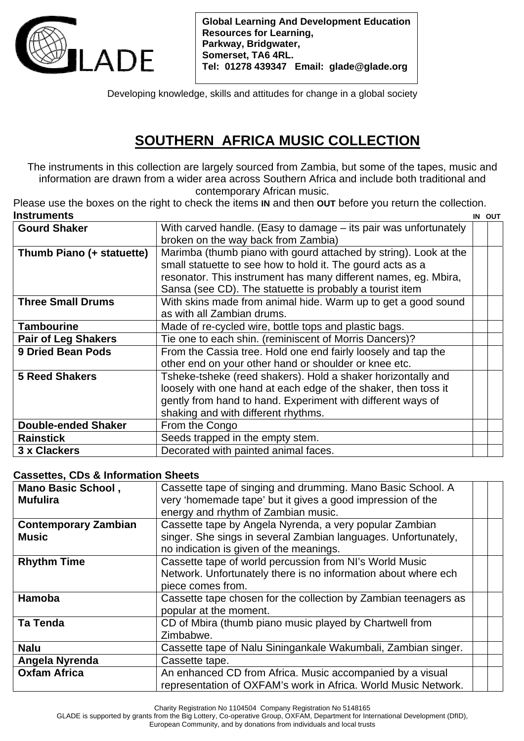

**Global Learning And Development Education Resources for Learning, Parkway, Bridgwater, Somerset, TA6 4RL. Tel: 01278 439347 Email: glade@glade.org** 

Developing knowledge, skills and attitudes for change in a global society

## **SOUTHERN AFRICA MUSIC COLLECTION**

The instruments in this collection are largely sourced from Zambia, but some of the tapes, music and information are drawn from a wider area across Southern Africa and include both traditional and contemporary African music.

Please use the boxes on the right to check the items **IN** and then **OUT** before you return the collection. **Instruments** IN OUT

|                                                                  | ויטש ווו |
|------------------------------------------------------------------|----------|
| With carved handle. (Easy to damage – its pair was unfortunately |          |
| broken on the way back from Zambia)                              |          |
| Marimba (thumb piano with gourd attached by string). Look at the |          |
| small statuette to see how to hold it. The gourd acts as a       |          |
| resonator. This instrument has many different names, eg. Mbira,  |          |
| Sansa (see CD). The statuette is probably a tourist item         |          |
| With skins made from animal hide. Warm up to get a good sound    |          |
| as with all Zambian drums.                                       |          |
| Made of re-cycled wire, bottle tops and plastic bags.            |          |
| Tie one to each shin. (reminiscent of Morris Dancers)?           |          |
| From the Cassia tree. Hold one end fairly loosely and tap the    |          |
| other end on your other hand or shoulder or knee etc.            |          |
| Tsheke-tsheke (reed shakers). Hold a shaker horizontally and     |          |
| loosely with one hand at each edge of the shaker, then toss it   |          |
| gently from hand to hand. Experiment with different ways of      |          |
| shaking and with different rhythms.                              |          |
| From the Congo                                                   |          |
| Seeds trapped in the empty stem.                                 |          |
| Decorated with painted animal faces.                             |          |
|                                                                  |          |

## **Cassettes, CDs & Information Sheets**

| <b>Mano Basic School,</b>   | Cassette tape of singing and drumming. Mano Basic School. A     |  |
|-----------------------------|-----------------------------------------------------------------|--|
| <b>Mufulira</b>             | very 'homemade tape' but it gives a good impression of the      |  |
|                             | energy and rhythm of Zambian music.                             |  |
| <b>Contemporary Zambian</b> | Cassette tape by Angela Nyrenda, a very popular Zambian         |  |
| <b>Music</b>                | singer. She sings in several Zambian languages. Unfortunately,  |  |
|                             | no indication is given of the meanings.                         |  |
| <b>Rhythm Time</b>          | Cassette tape of world percussion from NI's World Music         |  |
|                             | Network. Unfortunately there is no information about where ech  |  |
|                             | piece comes from.                                               |  |
| Hamoba                      | Cassette tape chosen for the collection by Zambian teenagers as |  |
|                             | popular at the moment.                                          |  |
| <b>Ta Tenda</b>             | CD of Mbira (thumb piano music played by Chartwell from         |  |
|                             | Zimbabwe.                                                       |  |
| <b>Nalu</b>                 | Cassette tape of Nalu Siningankale Wakumbali, Zambian singer.   |  |
| Angela Nyrenda              | Cassette tape.                                                  |  |
| <b>Oxfam Africa</b>         | An enhanced CD from Africa. Music accompanied by a visual       |  |
|                             | representation of OXFAM's work in Africa. World Music Network.  |  |

Charity Registration No 1104504 Company Registration No 5148165

GLADE is supported by grants from the Big Lottery, Co-operative Group, OXFAM, Department for International Development (DfID),

European Community, and by donations from individuals and local trusts